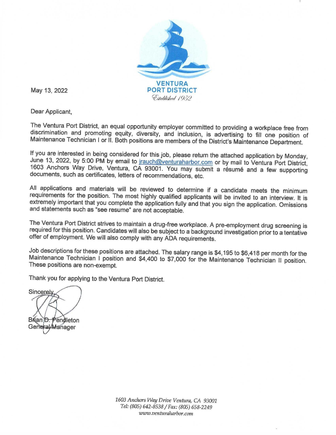

May 13, 2022

Dear Applicant,

The Ventura Port District, an equal opportunity employer committed to providing a workplace free from discrimination and promoting equity, diversity, and inclusion, is advertising to fill one position of Maintenance Technician I or II. Both positions are members of the District's Maintenance Department.

If you are interested in being considered for this job, please return the attached application by Monday, June 13, 2022, by 5:00 PM by email to jrauch@venturaharbor.com or by mail to Ventura Port District, 1603 Anchors Way Drive, Ventura, CA 93001. You may submit a résumé and a few supporting documents, such as certificates, letters of recommendations, etc.

All applications and materials will be reviewed to determine if a candidate meets the minimum requirements for the position. The most highly qualified applicants will be invited to an interview. It is extremely important that you complete the application fully and that you sign the application. Omissions and statements such as "see resume" are not acceptable.

The Ventura Port District strives to maintain a drug-free workplace. A pre-employment drug screening is required for this position. Candidates will also be subject to a background investigation prior to a tentative offer of employment. We will also comply with any ADA requirements.

Job descriptions for these positions are attached. The salary range is \$4,195 to \$6,418 per month for the Maintenance Technician I position and \$4,400 to \$7,000 for the Maintenance Technician II position. These positions are non-exempt.

Thank you for applying to the Ventura Port District.

Sincerely Brian D. Pendleton General Manager

1603 Anchors Way Drive Ventura, CA 93001 Tel: (805) 642-8538 / Fax: (805) 658-2249 www.venturaharbor.com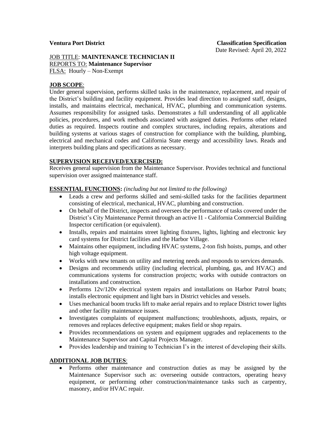#### JOB TITLE: **MAINTENANCE TECHNICIAN II** REPORTS TO: **Maintenance Supervisor** FLSA: Hourly – Non-Exempt

## **JOB SCOPE**:

Under general supervision, performs skilled tasks in the maintenance, replacement, and repair of the District's building and facility equipment. Provides lead direction to assigned staff, designs, installs, and maintains electrical, mechanical, HVAC, plumbing and communication systems. Assumes responsibility for assigned tasks. Demonstrates a full understanding of all applicable policies, procedures, and work methods associated with assigned duties. Performs other related duties as required. Inspects routine and complex structures, including repairs, alterations and building systems at various stages of construction for compliance with the building, plumbing, electrical and mechanical codes and California State energy and accessibility laws. Reads and interprets building plans and specifications as necessary.

### **SUPERVISION RECEIVED/EXERCISED:**

Receives general supervision from the Maintenance Supervisor. Provides technical and functional supervision over assigned maintenance staff.

### **ESSENTIAL FUNCTIONS:** *(including but not limited to the following)*

- Leads a crew and performs skilled and semi-skilled tasks for the facilities department consisting of electrical, mechanical, HVAC, plumbing and construction.
- On behalf of the District, inspects and oversees the performance of tasks covered under the District's City Maintenance Permit through an active I1 - California Commercial Building Inspector certification (or equivalent).
- Installs, repairs and maintains street lighting fixtures, lights, lighting and electronic key card systems for District facilities and the Harbor Village.
- Maintains other equipment, including HVAC systems, 2-ton fish hoists, pumps, and other high voltage equipment.
- Works with new tenants on utility and metering needs and responds to services demands.
- Designs and recommends utility (including electrical, plumbing, gas, and HVAC) and communications systems for construction projects; works with outside contractors on installations and construction.
- Performs 12v/120v electrical system repairs and installations on Harbor Patrol boats; installs electronic equipment and light bars in District vehicles and vessels.
- Uses mechanical boom trucks lift to make aerial repairs and to replace District tower lights and other facility maintenance issues.
- Investigates complaints of equipment malfunctions; troubleshoots, adjusts, repairs, or removes and replaces defective equipment; makes field or shop repairs.
- Provides recommendations on system and equipment upgrades and replacements to the Maintenance Supervisor and Capital Projects Manager.
- Provides leadership and training to Technician I's in the interest of developing their skills.

### **ADDITIONAL JOB DUTIES**:

• Performs other maintenance and construction duties as may be assigned by the Maintenance Supervisor such as: overseeing outside contractors, operating heavy equipment, or performing other construction/maintenance tasks such as carpentry, masonry, and/or HVAC repair.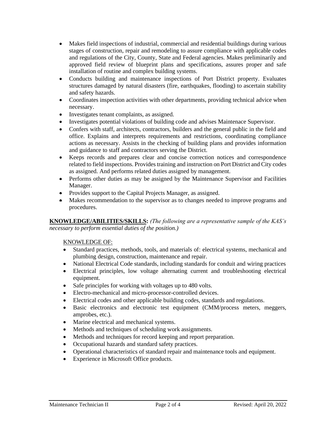- Makes field inspections of industrial, commercial and residential buildings during various stages of construction, repair and remodeling to assure compliance with applicable codes and regulations of the City, County, State and Federal agencies. Makes preliminarily and approved field review of blueprint plans and specifications, assures proper and safe installation of routine and complex building systems.
- Conducts building and maintenance inspections of Port District property. Evaluates structures damaged by natural disasters (fire, earthquakes, flooding) to ascertain stability and safety hazards.
- Coordinates inspection activities with other departments, providing technical advice when necessary.
- Investigates tenant complaints, as assigned.
- Investigates potential violations of building code and advises Maintenace Supervisor.
- Confers with staff, architects, contractors, builders and the general public in the field and office. Explains and interprets requirements and restrictions, coordinating compliance actions as necessary. Assists in the checking of building plans and provides information and guidance to staff and contractors serving the District.
- Keeps records and prepares clear and concise correction notices and correspondence related to field inspections. Provides training and instruction on Port District and City codes as assigned. And performs related duties assigned by management.
- Performs other duties as may be assigned by the Maintenance Supervisor and Facilities Manager.
- Provides support to the Capital Projects Manager, as assigned.
- Makes recommendation to the supervisor as to changes needed to improve programs and procedures.

**KNOWLEDGE/ABILITIES/SKILLS:** *(The following are a representative sample of the KAS's necessary to perform essential duties of the position.)* 

# KNOWLEDGE OF:

- Standard practices, methods, tools, and materials of: electrical systems, mechanical and plumbing design, construction, maintenance and repair.
- National Electrical Code standards, including standards for conduit and wiring practices
- Electrical principles, low voltage alternating current and troubleshooting electrical equipment.
- Safe principles for working with voltages up to 480 volts.
- Electro-mechanical and micro-processor-controlled devices.
- Electrical codes and other applicable building codes, standards and regulations.
- Basic electronics and electronic test equipment (CMM/process meters, meggers, amprobes, etc.).
- Marine electrical and mechanical systems.
- Methods and techniques of scheduling work assignments.
- Methods and techniques for record keeping and report preparation.
- Occupational hazards and standard safety practices.
- Operational characteristics of standard repair and maintenance tools and equipment.
- Experience in Microsoft Office products.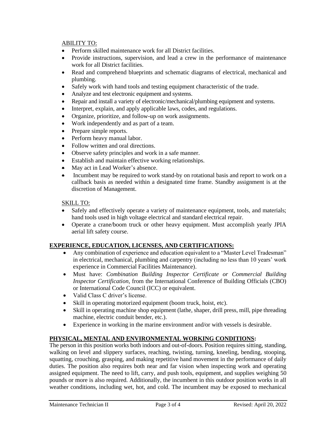## ABILITY TO:

- Perform skilled maintenance work for all District facilities.
- Provide instructions, supervision, and lead a crew in the performance of maintenance work for all District facilities.
- Read and comprehend blueprints and schematic diagrams of electrical, mechanical and plumbing.
- Safely work with hand tools and testing equipment characteristic of the trade.
- Analyze and test electronic equipment and systems.
- Repair and install a variety of electronic/mechanical/plumbing equipment and systems.
- Interpret, explain, and apply applicable laws, codes, and regulations.
- Organize, prioritize, and follow-up on work assignments.
- Work independently and as part of a team.
- Prepare simple reports.
- Perform heavy manual labor.
- Follow written and oral directions.
- Observe safety principles and work in a safe manner.
- Establish and maintain effective working relationships.
- May act in Lead Worker's absence.
- Incumbent may be required to work stand-by on rotational basis and report to work on a callback basis as needed within a designated time frame. Standby assignment is at the discretion of Management.

# SKILL TO:

- Safely and effectively operate a variety of maintenance equipment, tools, and materials; hand tools used in high voltage electrical and standard electrical repair.
- Operate a crane/boom truck or other heavy equipment. Must accomplish yearly JPIA aerial lift safety course.

# **EXPERIENCE, EDUCATION, LICENSES, AND CERTIFICATIONS:**

- Any combination of experience and education equivalent to a "Master Level Tradesman" in electrical, mechanical, plumbing and carpentry (including no less than 10 years' work experience in Commercial Facilities Maintenance).
- Must have: *Combination Building Inspector Certificate or Commercial Building Inspector Certification*, from the International Conference of Building Officials (CBO) or International Code Council (ICC) or equivalent.
- Valid Class C driver's license.
- Skill in operating motorized equipment (boom truck, hoist, etc).
- Skill in operating machine shop equipment (lathe, shaper, drill press, mill, pipe threading machine, electric conduit bender, etc.).
- Experience in working in the marine environment and/or with vessels is desirable.

# **PHYSICAL, MENTAL AND ENVIRONMENTAL WORKING CONDITIONS:**

The person in this position works both indoors and out-of-doors. Position requires sitting, standing, walking on level and slippery surfaces, reaching, twisting, turning, kneeling, bending, stooping, squatting, crouching, grasping, and making repetitive hand movement in the performance of daily duties. The position also requires both near and far vision when inspecting work and operating assigned equipment. The need to lift, carry, and push tools, equipment, and supplies weighing 50 pounds or more is also required. Additionally, the incumbent in this outdoor position works in all weather conditions, including wet, hot, and cold. The incumbent may be exposed to mechanical